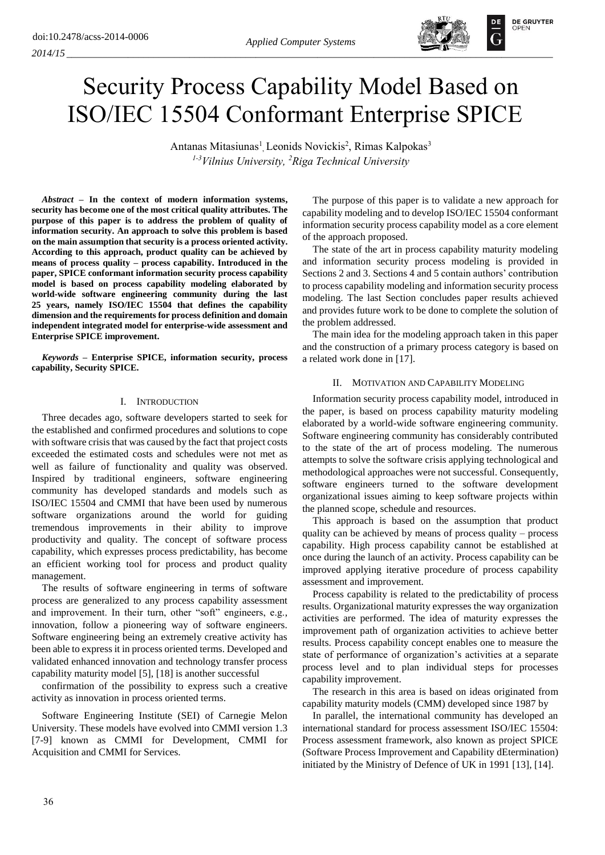

# Security Process Capability Model Based on ISO/IEC 15504 Conformant Enterprise SPICE

Antanas Mitasiunas<sup>1</sup>, Leonids Novickis<sup>2</sup>, Rimas Kalpokas<sup>3</sup> *1-3Vilnius University, <sup>2</sup>Riga Technical University*

*Abstract* **– In the context of modern information systems, security has become one of the most critical quality attributes. The purpose of this paper is to address the problem of quality of information security. An approach to solve this problem is based on the main assumption that security is a process oriented activity. According to this approach, product quality can be achieved by means of process quality – process capability. Introduced in the paper, SPICE conformant information security process capability model is based on process capability modeling elaborated by world-wide software engineering community during the last 25 years, namely ISO/IEC 15504 that defines the capability dimension and the requirements for process definition and domain independent integrated model for enterprise-wide assessment and Enterprise SPICE improvement.** 

*Keywords* **– Enterprise SPICE, information security, process capability, Security SPICE.**

### I. INTRODUCTION

Three decades ago, software developers started to seek for the established and confirmed procedures and solutions to cope with software crisis that was caused by the fact that project costs exceeded the estimated costs and schedules were not met as well as failure of functionality and quality was observed. Inspired by traditional engineers, software engineering community has developed standards and models such as ISO/IEC 15504 and CMMI that have been used by numerous software organizations around the world for guiding tremendous improvements in their ability to improve productivity and quality. The concept of software process capability, which expresses process predictability, has become an efficient working tool for process and product quality management.

The results of software engineering in terms of software process are generalized to any process capability assessment and improvement. In their turn, other "soft" engineers, e.g., innovation, follow a pioneering way of software engineers. Software engineering being an extremely creative activity has been able to express it in process oriented terms. Developed and validated enhanced innovation and technology transfer process capability maturity model [5], [18] is another successful

confirmation of the possibility to express such a creative activity as innovation in process oriented terms.

Software Engineering Institute (SEI) of Carnegie Melon University. These models have evolved into CMMI version 1.3 [7-9] known as CMMI for Development, CMMI for Acquisition and CMMI for Services.

The purpose of this paper is to validate a new approach for capability modeling and to develop ISO/IEC 15504 conformant information security process capability model as a core element of the approach proposed.

The state of the art in process capability maturity modeling and information security process modeling is provided in Sections 2 and 3. Sections 4 and 5 contain authors' contribution to process capability modeling and information security process modeling. The last Section concludes paper results achieved and provides future work to be done to complete the solution of the problem addressed.

The main idea for the modeling approach taken in this paper and the construction of a primary process category is based on a related work done in [17].

## II. MOTIVATION AND CAPABILITY MODELING

Information security process capability model, introduced in the paper, is based on process capability maturity modeling elaborated by a world-wide software engineering community. Software engineering community has considerably contributed to the state of the art of process modeling. The numerous attempts to solve the software crisis applying technological and methodological approaches were not successful. Consequently, software engineers turned to the software development organizational issues aiming to keep software projects within the planned scope, schedule and resources.

This approach is based on the assumption that product quality can be achieved by means of process quality – process capability. High process capability cannot be established at once during the launch of an activity. Process capability can be improved applying iterative procedure of process capability assessment and improvement.

Process capability is related to the predictability of process results. Organizational maturity expresses the way organization activities are performed. The idea of maturity expresses the improvement path of organization activities to achieve better results. Process capability concept enables one to measure the state of performance of organization's activities at a separate process level and to plan individual steps for processes capability improvement.

The research in this area is based on ideas originated from capability maturity models (CMM) developed since 1987 by

In parallel, the international community has developed an international standard for process assessment ISO/IEC 15504: Process assessment framework, also known as project SPICE (Software Process Improvement and Capability dEtermination) initiated by the Ministry of Defence of UK in 1991 [13], [14].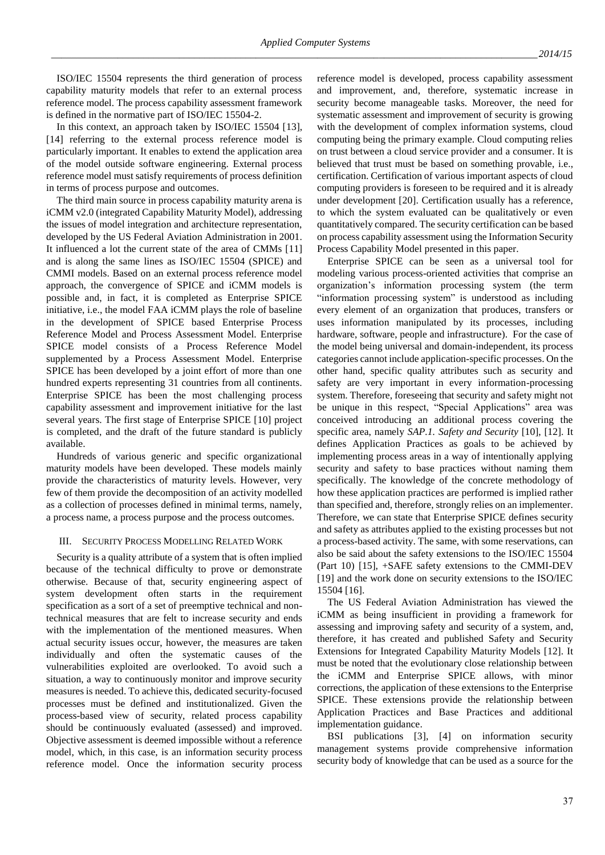ISO/IEC 15504 represents the third generation of process capability maturity models that refer to an external process reference model. The process capability assessment framework is defined in the normative part of ISO/IEC 15504-2.

In this context, an approach taken by ISO/IEC 15504 [13], [14] referring to the external process reference model is particularly important. It enables to extend the application area of the model outside software engineering. External process reference model must satisfy requirements of process definition in terms of process purpose and outcomes.

The third main source in process capability maturity arena is iCMM v2.0 (integrated Capability Maturity Model), addressing the issues of model integration and architecture representation, developed by the US Federal Aviation Administration in 2001. It influenced a lot the current state of the area of CMMs [11] and is along the same lines as ISO/IEC 15504 (SPICE) and CMMI models. Based on an external process reference model approach, the convergence of SPICE and iCMM models is possible and, in fact, it is completed as Enterprise SPICE initiative, i.e., the model FAA iCMM plays the role of baseline in the development of SPICE based Enterprise Process Reference Model and Process Assessment Model. Enterprise SPICE model consists of a Process Reference Model supplemented by a Process Assessment Model. Enterprise SPICE has been developed by a joint effort of more than one hundred experts representing 31 countries from all continents. Enterprise SPICE has been the most challenging process capability assessment and improvement initiative for the last several years. The first stage of Enterprise SPICE [10] project is completed, and the draft of the future standard is publicly available.

Hundreds of various generic and specific organizational maturity models have been developed. These models mainly provide the characteristics of maturity levels. However, very few of them provide the decomposition of an activity modelled as a collection of processes defined in minimal terms, namely, a process name, a process purpose and the process outcomes.

### III. SECURITY PROCESS MODELLING RELATED WORK

Security is a quality attribute of a system that is often implied because of the technical difficulty to prove or demonstrate otherwise. Because of that, security engineering aspect of system development often starts in the requirement specification as a sort of a set of preemptive technical and nontechnical measures that are felt to increase security and ends with the implementation of the mentioned measures. When actual security issues occur, however, the measures are taken individually and often the systematic causes of the vulnerabilities exploited are overlooked. To avoid such a situation, a way to continuously monitor and improve security measures is needed. To achieve this, dedicated security-focused processes must be defined and institutionalized. Given the process-based view of security, related process capability should be continuously evaluated (assessed) and improved. Objective assessment is deemed impossible without a reference model, which, in this case, is an information security process reference model. Once the information security process reference model is developed, process capability assessment and improvement, and, therefore, systematic increase in security become manageable tasks. Moreover, the need for systematic assessment and improvement of security is growing with the development of complex information systems, cloud computing being the primary example. Cloud computing relies on trust between a cloud service provider and a consumer. It is believed that trust must be based on something provable, i.e., certification. Certification of various important aspects of cloud computing providers is foreseen to be required and it is already under development [20]. Certification usually has a reference, to which the system evaluated can be qualitatively or even quantitatively compared. The security certification can be based on process capability assessment using the Information Security Process Capability Model presented in this paper.

Enterprise SPICE can be seen as a universal tool for modeling various process-oriented activities that comprise an organization's information processing system (the term "information processing system" is understood as including every element of an organization that produces, transfers or uses information manipulated by its processes, including hardware, software, people and infrastructure). For the case of the model being universal and domain-independent, its process categories cannot include application-specific processes. On the other hand, specific quality attributes such as security and safety are very important in every information-processing system. Therefore, foreseeing that security and safety might not be unique in this respect, "Special Applications" area was conceived introducing an additional process covering the specific area, namely *SAP.1. Safety and Security* [10], [12]. It defines Application Practices as goals to be achieved by implementing process areas in a way of intentionally applying security and safety to base practices without naming them specifically. The knowledge of the concrete methodology of how these application practices are performed is implied rather than specified and, therefore, strongly relies on an implementer. Therefore, we can state that Enterprise SPICE defines security and safety as attributes applied to the existing processes but not a process-based activity. The same, with some reservations, can also be said about the safety extensions to the ISO/IEC 15504 (Part 10) [15], +SAFE safety extensions to the CMMI-DEV [19] and the work done on security extensions to the ISO/IEC 15504 [16].

The US Federal Aviation Administration has viewed the iCMM as being insufficient in providing a framework for assessing and improving safety and security of a system, and, therefore, it has created and published Safety and Security Extensions for Integrated Capability Maturity Models [12]. It must be noted that the evolutionary close relationship between the iCMM and Enterprise SPICE allows, with minor corrections, the application of these extensions to the Enterprise SPICE. These extensions provide the relationship between Application Practices and Base Practices and additional implementation guidance.

BSI publications [3], [4] on information security management systems provide comprehensive information security body of knowledge that can be used as a source for the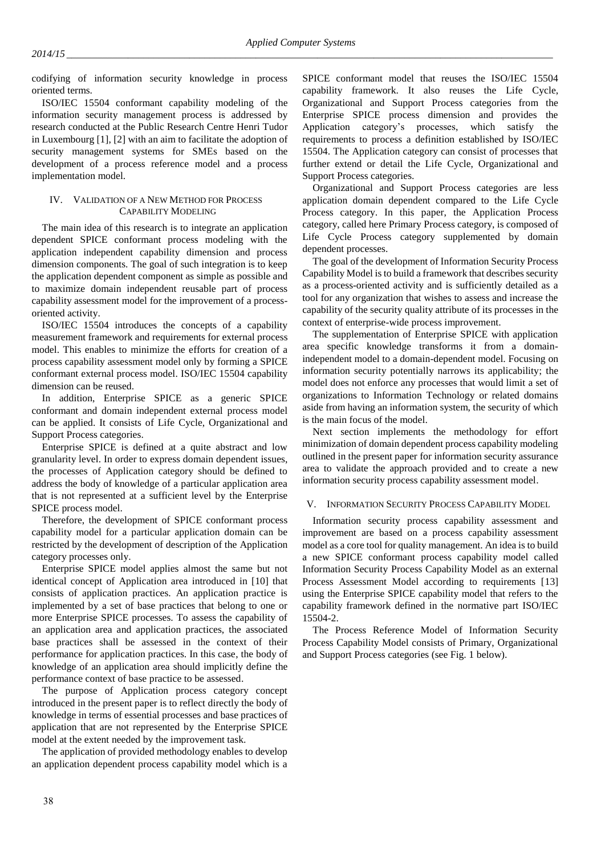codifying of information security knowledge in process oriented terms.

ISO/IEC 15504 conformant capability modeling of the information security management process is addressed by research conducted at the Public Research Centre Henri Tudor in Luxembourg [1], [2] with an aim to facilitate the adoption of security management systems for SMEs based on the development of a process reference model and a process implementation model.

## IV. VALIDATION OF A NEW METHOD FOR PROCESS CAPABILITY MODELING

The main idea of this research is to integrate an application dependent SPICE conformant process modeling with the application independent capability dimension and process dimension components. The goal of such integration is to keep the application dependent component as simple as possible and to maximize domain independent reusable part of process capability assessment model for the improvement of a processoriented activity.

ISO/IEC 15504 introduces the concepts of a capability measurement framework and requirements for external process model. This enables to minimize the efforts for creation of a process capability assessment model only by forming a SPICE conformant external process model. ISO/IEC 15504 capability dimension can be reused.

In addition, Enterprise SPICE as a generic SPICE conformant and domain independent external process model can be applied. It consists of Life Cycle, Organizational and Support Process categories.

Enterprise SPICE is defined at a quite abstract and low granularity level. In order to express domain dependent issues, the processes of Application category should be defined to address the body of knowledge of a particular application area that is not represented at a sufficient level by the Enterprise SPICE process model.

Therefore, the development of SPICE conformant process capability model for a particular application domain can be restricted by the development of description of the Application category processes only.

Enterprise SPICE model applies almost the same but not identical concept of Application area introduced in [10] that consists of application practices. An application practice is implemented by a set of base practices that belong to one or more Enterprise SPICE processes. To assess the capability of an application area and application practices, the associated base practices shall be assessed in the context of their performance for application practices. In this case, the body of knowledge of an application area should implicitly define the performance context of base practice to be assessed.

The purpose of Application process category concept introduced in the present paper is to reflect directly the body of knowledge in terms of essential processes and base practices of application that are not represented by the Enterprise SPICE model at the extent needed by the improvement task.

The application of provided methodology enables to develop an application dependent process capability model which is a SPICE conformant model that reuses the ISO/IEC 15504 capability framework. It also reuses the Life Cycle, Organizational and Support Process categories from the Enterprise SPICE process dimension and provides the Application category's processes, which satisfy the requirements to process a definition established by ISO/IEC 15504. The Application category can consist of processes that further extend or detail the Life Cycle, Organizational and Support Process categories.

Organizational and Support Process categories are less application domain dependent compared to the Life Cycle Process category. In this paper, the Application Process category, called here Primary Process category, is composed of Life Cycle Process category supplemented by domain dependent processes.

The goal of the development of Information Security Process Capability Model is to build a framework that describes security as a process-oriented activity and is sufficiently detailed as a tool for any organization that wishes to assess and increase the capability of the security quality attribute of its processes in the context of enterprise-wide process improvement.

The supplementation of Enterprise SPICE with application area specific knowledge transforms it from a domainindependent model to a domain-dependent model. Focusing on information security potentially narrows its applicability; the model does not enforce any processes that would limit a set of organizations to Information Technology or related domains aside from having an information system, the security of which is the main focus of the model.

Next section implements the methodology for effort minimization of domain dependent process capability modeling outlined in the present paper for information security assurance area to validate the approach provided and to create a new information security process capability assessment model.

## V. INFORMATION SECURITY PROCESS CAPABILITY MODEL

Information security process capability assessment and improvement are based on a process capability assessment model as a core tool for quality management. An idea is to build a new SPICE conformant process capability model called Information Security Process Capability Model as an external Process Assessment Model according to requirements [13] using the Enterprise SPICE capability model that refers to the capability framework defined in the normative part ISO/IEC 15504-2.

The Process Reference Model of Information Security Process Capability Model consists of Primary, Organizational and Support Process categories (see Fig. 1 below).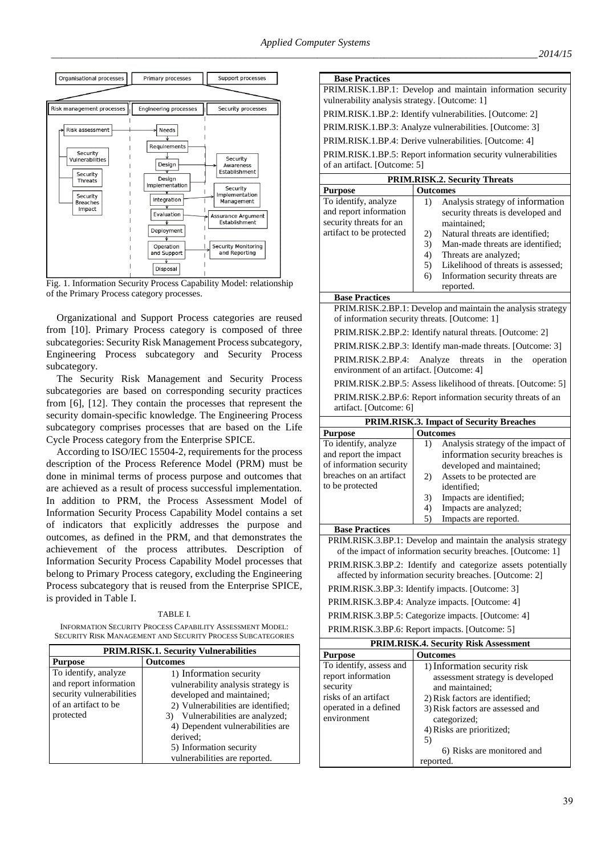

Fig. 1. Information Security Process Capability Model: relationship of the Primary Process category processes.

Organizational and Support Process categories are reused from [10]. Primary Process category is composed of three subcategories: Security Risk Management Process subcategory, Engineering Process subcategory and Security Process subcategory.

The Security Risk Management and Security Process subcategories are based on corresponding security practices from [6], [12]. They contain the processes that represent the security domain-specific knowledge. The Engineering Process subcategory comprises processes that are based on the Life Cycle Process category from the Enterprise SPICE.

According to ISO/IEC 15504-2, requirements for the process description of the Process Reference Model (PRM) must be done in minimal terms of process purpose and outcomes that are achieved as a result of process successful implementation. In addition to PRM, the Process Assessment Model of Information Security Process Capability Model contains a set of indicators that explicitly addresses the purpose and outcomes, as defined in the PRM, and that demonstrates the achievement of the process attributes. Description of Information Security Process Capability Model processes that belong to Primary Process category, excluding the Engineering Process subcategory that is reused from the Enterprise SPICE, is provided in Table I.

INFORMATION SECURITY PROCESS CAPABILITY ASSESSMENT MODEL: SECURITY RISK MANAGEMENT AND SECURITY PROCESS SUBCATEGORIES

| <b>PRIM.RISK.1. Security Vulnerabilities</b>                                                       |                                                                                                                                              |  |  |
|----------------------------------------------------------------------------------------------------|----------------------------------------------------------------------------------------------------------------------------------------------|--|--|
| <b>Purpose</b>                                                                                     | <b>Outcomes</b>                                                                                                                              |  |  |
| To identify, analyze<br>and report information<br>security vulnerabilities<br>of an artifact to be | 1) Information security<br>vulnerability analysis strategy is<br>developed and maintained;<br>2) Vulnerabilities are identified;             |  |  |
| protected                                                                                          | 3) Vulnerabilities are analyzed;<br>4) Dependent vulnerabilities are<br>derived:<br>5) Information security<br>vulnerabilities are reported. |  |  |

|                                                                   | PRIM.RISK.1.BP.1: Develop and maintain information security                                                             |  |  |  |  |  |
|-------------------------------------------------------------------|-------------------------------------------------------------------------------------------------------------------------|--|--|--|--|--|
| vulnerability analysis strategy. [Outcome: 1]                     |                                                                                                                         |  |  |  |  |  |
|                                                                   | PRIM.RISK.1.BP.2: Identify vulnerabilities. [Outcome: 2]                                                                |  |  |  |  |  |
| PRIM.RISK.1.BP.3: Analyze vulnerabilities. [Outcome: 3]           |                                                                                                                         |  |  |  |  |  |
| PRIM.RISK.1.BP.4: Derive vulnerabilities. [Outcome: 4]            |                                                                                                                         |  |  |  |  |  |
|                                                                   | PRIM.RISK.1.BP.5: Report information security vulnerabilities                                                           |  |  |  |  |  |
| of an artifact. [Outcome: 5]                                      |                                                                                                                         |  |  |  |  |  |
|                                                                   | <b>PRIM.RISK.2. Security Threats</b>                                                                                    |  |  |  |  |  |
| <b>Purpose</b>                                                    | <b>Outcomes</b>                                                                                                         |  |  |  |  |  |
| To identify, analyze<br>and report information                    | Analysis strategy of information<br>1)                                                                                  |  |  |  |  |  |
| security threats for an                                           | security threats is developed and<br>maintained:                                                                        |  |  |  |  |  |
| artifact to be protected                                          | Natural threats are identified;<br>2)                                                                                   |  |  |  |  |  |
|                                                                   | 3)<br>Man-made threats are identified;                                                                                  |  |  |  |  |  |
|                                                                   | Threats are analyzed;<br>4)                                                                                             |  |  |  |  |  |
|                                                                   | Likelihood of threats is assessed;<br>5)                                                                                |  |  |  |  |  |
|                                                                   | Information security threats are<br>6)<br>reported.                                                                     |  |  |  |  |  |
| <b>Base Practices</b>                                             |                                                                                                                         |  |  |  |  |  |
| PRIM.RISK.2.BP.1: Develop and maintain the analysis strategy      |                                                                                                                         |  |  |  |  |  |
| of information security threats. [Outcome: 1]                     |                                                                                                                         |  |  |  |  |  |
| PRIM.RISK.2.BP.2: Identify natural threats. [Outcome: 2]          |                                                                                                                         |  |  |  |  |  |
| PRIM.RISK.2.BP.3: Identify man-made threats. [Outcome: 3]         |                                                                                                                         |  |  |  |  |  |
| PRIM.RISK.2.BP.4:<br>threats<br>in<br>Analyze<br>the<br>operation |                                                                                                                         |  |  |  |  |  |
| environment of an artifact. [Outcome: 4]                          |                                                                                                                         |  |  |  |  |  |
|                                                                   | PRIM.RISK.2.BP.5: Assess likelihood of threats. [Outcome: 5]                                                            |  |  |  |  |  |
|                                                                   | PRIM.RISK.2.BP.6: Report information security threats of an                                                             |  |  |  |  |  |
| artifact. [Outcome: 6]                                            |                                                                                                                         |  |  |  |  |  |
| <b>PRIM.RISK.3. Impact of Security Breaches</b>                   |                                                                                                                         |  |  |  |  |  |
| <b>Purpose</b>                                                    | <b>Outcomes</b>                                                                                                         |  |  |  |  |  |
| To identify, analyze                                              | Analysis strategy of the impact of<br>1)                                                                                |  |  |  |  |  |
| and report the impact<br>of information security                  | information security breaches is<br>developed and maintained;                                                           |  |  |  |  |  |
| breaches on an artifact                                           | Assets to be protected are<br>2)                                                                                        |  |  |  |  |  |
|                                                                   |                                                                                                                         |  |  |  |  |  |
| to be protected                                                   | identified:                                                                                                             |  |  |  |  |  |
|                                                                   | Impacts are identified;<br>3)                                                                                           |  |  |  |  |  |
|                                                                   | Impacts are analyzed;<br>4)                                                                                             |  |  |  |  |  |
|                                                                   | 5)<br>Impacts are reported.                                                                                             |  |  |  |  |  |
| <b>Base Practices</b>                                             |                                                                                                                         |  |  |  |  |  |
|                                                                   | PRIM.RISK.3.BP.1: Develop and maintain the analysis strategy                                                            |  |  |  |  |  |
|                                                                   | of the impact of information security breaches. [Outcome: 1]                                                            |  |  |  |  |  |
|                                                                   | PRIM.RISK.3.BP.2: Identify and categorize assets potentially<br>affected by information security breaches. [Outcome: 2] |  |  |  |  |  |
|                                                                   | PRIM.RISK.3.BP.3: Identify impacts. [Outcome: 3]                                                                        |  |  |  |  |  |
|                                                                   |                                                                                                                         |  |  |  |  |  |
|                                                                   | PRIM.RISK.3.BP.4: Analyze impacts. [Outcome: 4]                                                                         |  |  |  |  |  |
|                                                                   | PRIM.RISK.3.BP.5: Categorize impacts. [Outcome: 4]                                                                      |  |  |  |  |  |
|                                                                   | PRIM.RISK.3.BP.6: Report impacts. [Outcome: 5]                                                                          |  |  |  |  |  |
|                                                                   | PRIM.RISK.4. Security Risk Assessment                                                                                   |  |  |  |  |  |
| <b>Purpose</b><br>To identify, assess and                         | <b>Outcomes</b>                                                                                                         |  |  |  |  |  |
| report information                                                | 1) Information security risk<br>assessment strategy is developed                                                        |  |  |  |  |  |
| security                                                          | and maintained:                                                                                                         |  |  |  |  |  |
| risks of an artifact                                              | 2) Risk factors are identified;                                                                                         |  |  |  |  |  |
| operated in a defined<br>environment                              | 3) Risk factors are assessed and                                                                                        |  |  |  |  |  |
|                                                                   | categorized;                                                                                                            |  |  |  |  |  |
|                                                                   | 4) Risks are prioritized;<br>5)                                                                                         |  |  |  |  |  |
|                                                                   | 6) Risks are monitored and                                                                                              |  |  |  |  |  |
|                                                                   | reported.                                                                                                               |  |  |  |  |  |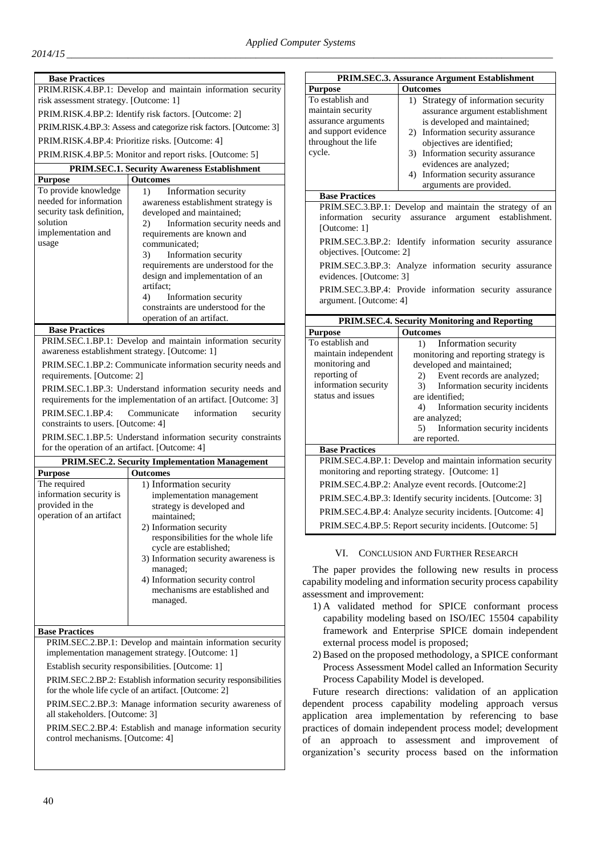| <b>Base Practices</b>                                                                                                     |                                                                     | PRIM.SEC.3. Assurance Argument Establishment                                                                          |                                                                  |
|---------------------------------------------------------------------------------------------------------------------------|---------------------------------------------------------------------|-----------------------------------------------------------------------------------------------------------------------|------------------------------------------------------------------|
|                                                                                                                           | PRIM.RISK.4.BP.1: Develop and maintain information security         | <b>Purpose</b>                                                                                                        | <b>Outcomes</b>                                                  |
| risk assessment strategy. [Outcome: 1]                                                                                    |                                                                     | To establish and<br>maintain security                                                                                 | 1) Strategy of information security                              |
| PRIM.RISK.4.BP.2: Identify risk factors. [Outcome: 2]                                                                     |                                                                     | assurance arguments                                                                                                   | assurance argument establishment<br>is developed and maintained; |
| PRIM.RISK.4.BP.3: Assess and categorize risk factors. [Outcome: 3]                                                        |                                                                     | and support evidence                                                                                                  | 2) Information security assurance                                |
| PRIM.RISK.4.BP.4: Prioritize risks. [Outcome: 4]                                                                          |                                                                     | throughout the life                                                                                                   | objectives are identified;                                       |
|                                                                                                                           | PRIM.RISK.4.BP.5: Monitor and report risks. [Outcome: 5]            | cycle.                                                                                                                | 3) Information security assurance                                |
| PRIM.SEC.1. Security Awareness Establishment                                                                              |                                                                     |                                                                                                                       | evidences are analyzed;                                          |
| <b>Purpose</b>                                                                                                            | <b>Outcomes</b>                                                     |                                                                                                                       | 4) Information security assurance                                |
| To provide knowledge                                                                                                      | Information security<br>1)                                          |                                                                                                                       | arguments are provided.                                          |
| needed for information                                                                                                    | awareness establishment strategy is                                 | <b>Base Practices</b>                                                                                                 | PRIM.SEC.3.BP.1: Develop and maintain the strategy of an         |
| security task definition,                                                                                                 | developed and maintained;                                           |                                                                                                                       | information security assurance argument establishment.           |
| solution<br>implementation and                                                                                            | Information security needs and<br>(2)<br>requirements are known and | [Outcome: 1]                                                                                                          |                                                                  |
| usage                                                                                                                     | communicated;                                                       |                                                                                                                       | PRIM.SEC.3.BP.2: Identify information security assurance         |
|                                                                                                                           | 3)<br>Information security                                          | objectives. [Outcome: 2]                                                                                              |                                                                  |
|                                                                                                                           | requirements are understood for the                                 |                                                                                                                       | PRIM.SEC.3.BP.3: Analyze information security assurance          |
|                                                                                                                           | design and implementation of an                                     | evidences. [Outcome: 3]                                                                                               |                                                                  |
|                                                                                                                           | artifact;                                                           |                                                                                                                       | PRIM.SEC.3.BP.4: Provide information security assurance          |
|                                                                                                                           | 4)<br>Information security<br>constraints are understood for the    | argument. [Outcome: 4]                                                                                                |                                                                  |
|                                                                                                                           | operation of an artifact.                                           | PRIM.SEC.4. Security Monitoring and Reporting                                                                         |                                                                  |
| <b>Base Practices</b>                                                                                                     |                                                                     | <b>Purpose</b>                                                                                                        | <b>Outcomes</b>                                                  |
|                                                                                                                           | PRIM.SEC.1.BP.1: Develop and maintain information security          | To establish and                                                                                                      | Information security<br>1)                                       |
|                                                                                                                           | awareness establishment strategy. [Outcome: 1]                      | maintain independent                                                                                                  | monitoring and reporting strategy is                             |
|                                                                                                                           | PRIM.SEC.1.BP.2: Communicate information security needs and         | monitoring and                                                                                                        | developed and maintained;                                        |
| requirements. [Outcome: 2]                                                                                                |                                                                     | reporting of                                                                                                          | Event records are analyzed;<br>2)                                |
| PRIM.SEC.1.BP.3: Understand information security needs and                                                                |                                                                     | information security<br>status and issues                                                                             | 3)<br>Information security incidents<br>are identified;          |
| requirements for the implementation of an artifact. [Outcome: 3]                                                          |                                                                     |                                                                                                                       | Information security incidents<br>4)                             |
| PRIM.SEC.1.BP.4:<br>Communicate<br>information<br>security                                                                |                                                                     |                                                                                                                       | are analyzed;                                                    |
| constraints to users. [Outcome: 4]                                                                                        |                                                                     |                                                                                                                       | Information security incidents<br>5)                             |
| PRIM.SEC.1.BP.5: Understand information security constraints                                                              |                                                                     |                                                                                                                       | are reported.                                                    |
| for the operation of an artifact. [Outcome: 4]                                                                            |                                                                     | <b>Base Practices</b>                                                                                                 |                                                                  |
| <b>Purpose</b>                                                                                                            | PRIM.SEC.2. Security Implementation Management<br><b>Outcomes</b>   | PRIM.SEC.4.BP.1: Develop and maintain information security<br>monitoring and reporting strategy. [Outcome: 1]         |                                                                  |
| The required                                                                                                              | 1) Information security                                             |                                                                                                                       | PRIM.SEC.4.BP.2: Analyze event records. [Outcome:2]              |
| information security is                                                                                                   | implementation management                                           |                                                                                                                       |                                                                  |
| provided in the                                                                                                           | strategy is developed and                                           | PRIM.SEC.4.BP.3: Identify security incidents. [Outcome: 3]                                                            |                                                                  |
| operation of an artifact                                                                                                  | maintained;                                                         | PRIM.SEC.4.BP.4: Analyze security incidents. [Outcome: 4]<br>PRIM.SEC.4.BP.5: Report security incidents. [Outcome: 5] |                                                                  |
|                                                                                                                           | 2) Information security                                             |                                                                                                                       |                                                                  |
|                                                                                                                           | responsibilities for the whole life<br>cycle are established;       |                                                                                                                       |                                                                  |
|                                                                                                                           | 3) Information security awareness is                                | VI.                                                                                                                   | CONCLUSION AND FURTHER RESEARCH                                  |
| managed;<br>4) Information security control                                                                               |                                                                     | The paper provides the following new results in process                                                               |                                                                  |
|                                                                                                                           |                                                                     | capability modeling and information security process capability                                                       |                                                                  |
|                                                                                                                           | mechanisms are established and                                      | assessment and improvement:                                                                                           |                                                                  |
| managed.                                                                                                                  |                                                                     | 1) A validated method for SPICE conformant process                                                                    |                                                                  |
|                                                                                                                           |                                                                     |                                                                                                                       | capability modeling based on ISO/IEC 15504 capability            |
| <b>Base Practices</b>                                                                                                     |                                                                     | framework and Enterprise SPICE domain independent                                                                     |                                                                  |
| PRIM.SEC.2.BP.1: Develop and maintain information security                                                                |                                                                     | external process model is proposed;                                                                                   |                                                                  |
| implementation management strategy. [Outcome: 1]                                                                          |                                                                     | 2) Based on the proposed methodology, a SPICE conformant                                                              |                                                                  |
| Establish security responsibilities. [Outcome: 1]                                                                         |                                                                     | Process Assessment Model called an Information Security                                                               |                                                                  |
| PRIM.SEC.2.BP.2: Establish information security responsibilities<br>for the whole life cycle of an artifact. [Outcome: 2] |                                                                     | Process Capability Model is developed.<br>Future research directions: validation of an application                    |                                                                  |
|                                                                                                                           |                                                                     | dependent process capability modeling approach versus                                                                 |                                                                  |
| PRIM.SEC.2.BP.3: Manage information security awareness of<br>all stakeholders. [Outcome: 3]                               |                                                                     | application area implementation by referencing to base                                                                |                                                                  |
| PRIM.SEC.2.BP.4: Establish and manage information security                                                                |                                                                     | practices of domain independent process model; development                                                            |                                                                  |
| control mechanisms. [Outcome: 4]                                                                                          |                                                                     |                                                                                                                       | of an approach to assessment and improvement of                  |
|                                                                                                                           |                                                                     |                                                                                                                       | organization's security process based on the information         |